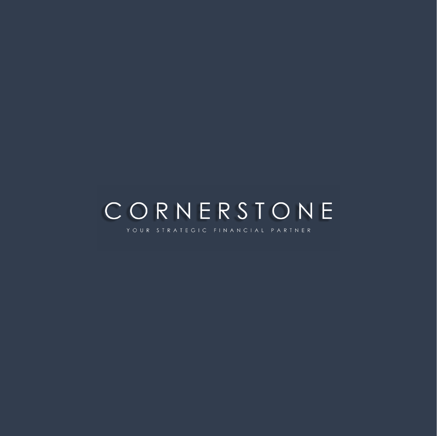## CORNERSTONE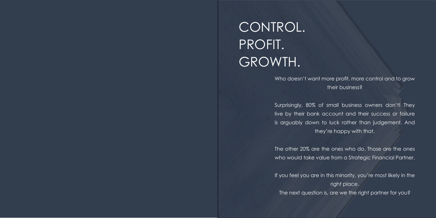# CONTROL. PROFIT. GROWTH.

Who doesn't want more profit, more control and to grow their business?

Surprisingly, 80% of small business owners don't! They live by their bank account and their success or failure is arguably down to luck rather than judgement. And they're happy with that.

The other 20% are the ones who do. Those are the ones who would take value from a Strategic Financial Partner.

If you feel you are in this minority, you're most likely in the right place.

The next question is, are we the right partner for you?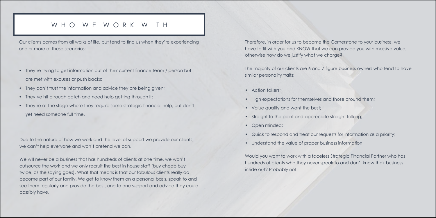## W H O W E W O R K W I T H

Our clients comes from all walks of life, but tend to find us when they're experiencing one or more of these scenarios:

> The majority of our clients are 6 and 7 figure business owners who tend to have similar personality traits:

Therefore, in order for us to become the Cornerstone to your business, we have to fit with you and KNOW that we can provide you with massive value, otherwise how do we justify what we charge?!

- Action takers;
- High expectations for themselves and those around them;
- Value quality and want the best;
- Straight to the point and appreciate straight talking;
- Open minded;
- Quick to respond and treat our requests for information as a priority;
- Understand the value of proper business information.

Would you want to work with a faceless Strategic Financial Partner who has hundreds of clients who they never speak to and don't know their business inside out? Probably not.

- They're trying to get information out of their current finance team / person but are met with excuses or push backs;
- They don't trust the information and advice they are being given;
- They've hit a rough patch and need help getting through it;
- They're at the stage where they require some strategic financial help, but don't yet need someone full time.

Due to the nature of how we work and the level of support we provide our clients, we can't help everyone and won't pretend we can.

We will never be a business that has hundreds of clients at one time, we won't outsource the work and we only recruit the best in house staff (buy cheap buy twice, as the saying goes). What that means is that our fabulous clients really do become part of our family. We get to know them on a personal basis, speak to and see them regularly and provide the best, one to one support and advice they could possibly have.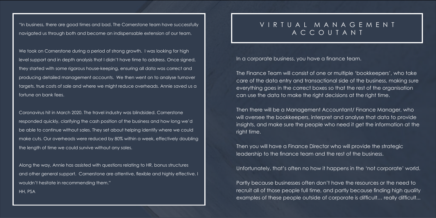"In business, there are good times and bad. The Cornerstone team have successfully navigated us through both and become an indispensable extension of our team.

We took on Cornerstone during a period of strong growth. I was looking for high level support and in depth analysis that I didn't have time to address. Once signed, they started with some rigorous house-keeping, ensuring all data was correct and producing detailed management accounts. We then went on to analyse turnover targets, true costs of sale and where we might reduce overheads. Annie saved us a fortune on bank fees.

Coronavirus hit in March 2020. The travel industry was blindsided. Cornerstone responded quickly, clarifying the cash position of the business and how long we'd be able to continue without sales. They set about helping identify where we could make cuts. Our overheads were reduced by 80% within a week, effectively doubling the length of time we could survive without any sales.

Along the way, Annie has assisted with questions relating to HR, bonus structures and other general support. Cornerstone are attentive, flexible and highly effective. I wouldn't hesitate in recommending them." HH, PSA

## V I R T U A L M A N A G E M E N T A C C O U T A N T

In a corporate business, you have a finance team.

The Finance Team will consist of one or multiple 'bookkeepers', who take care of the data entry and transactional side of the business, making sure everything goes in the correct boxes so that the rest of the organisation can use the data to make the right decisions at the right time.

Then there will be a Management Accountant/ Finance Manager, who will oversee the bookkeepers, interpret and analyse that data to provide insights, and make sure the people who need it get the information at the right time.

Then you will have a Finance Director who will provide the strategic leadership to the finance team and the rest of the business.

Unfortunately, that's often no how it happens in the 'not corporate' world.

Partly because businesses often don't have the resources or the need to recruit all of those people full time, and partly because finding high quality examples of these people outside of corporate is difficult… really difficult...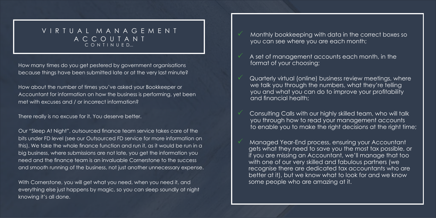How many times do you get pestered by government organisations because things have been submitted late or at the very last minute?

How about the number of times you've asked your Bookkeeper or Accountant for information on how the business is performing, yet been met with excuses and / or incorrect information?

There really is no excuse for it. You deserve better.

### V I R T U A L M A N A G E M E N T A C C O U T A N T C O N T I N U E D...

Our "Sleep At Night", outsourced finance team service takes care of the bits under FD level (see our Outsourced FD service for more information on this). We take the whole finance function and run it, as it would be run in a big business, where submissions are not late, you get the information you need and the finance team is an invaluable Cornerstone to the success and smooth running of the business, not just another unnecessary expense.

With Cornerstone, you will get what you need, when you need it, and everything else just happens by magic, so you can sleep soundly at night knowing it's all done.

- Monthly bookkeeping with data in the correct boxes so you can see where you are each month;
- A set of management accounts each month, in the format of your choosing;
- Quarterly virtual (online) business review meetings, where we talk you through the numbers, what they're telling you and what you can do to improve your profitability and financial health;
- Consulting Calls with our highly skilled team, who will talk you through how to read your management accounts
- Managed Year-End process, ensuring your Accountant if you are missing an Accountant, we'll manage that too with one of our very skilled and fabulous partners (we recognise there are dedicated tax accountants who are better at it), but we know what to look for and we know some people who are amazing at it.

to enable you to make the right decisions at the right time;

gets what they need to save you the most tax possible, or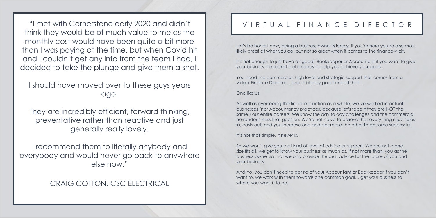"I met with Cornerstone early 2020 and didn't think they would be of much value to me as the monthly cost would have been quite a bit more than I was paying at the time, but when Covid hit and I couldn't get any info from the team I had, I decided to take the plunge and give them a shot.

I should have moved over to these guys years ago.

Let's be honest now, being a business owner is lonely. If you're here you're also most likely great at what you do, but not so great when it comes to the finance-y bit.

It's not enough to just have a "good" Bookkeeper or Accountant if you want to give your business the rocket fuel it needs to help you achieve your goals.

They are incredibly efficient, forward thinking, preventative rather than reactive and just generally really lovely.

I recommend them to literally anybody and everybody and would never go back to anywhere else now."

## CRAIG COTTON, CSC ELECTRICAL

## V I R T U A L F I N A N C E D I R E C T O R

And no, you don't need to get rid of your Accountant or Bookkeeper if you don't want to, we work with them towards one common goal... get your business to where you want it to be.

You need the commercial, high level and strategic support that comes from a Virtual Finance Director… and a bloody good one at that…

One like us.

As well as overseeing the finance function as a whole, we've worked in actual businesses (not Accountancy practices, because let's face it they are NOT the same!) our entire careers. We know the day to day challenges and the commercial horrendous-ness that goes on. We're not naive to believe that everything is just sales in, costs out, and you increase one and decrease the other to become successful.

It's not that simple. It never is.

So we won't give you that kind of level of advice or support. We are not a one size fits all, we get to know your business as much as, if not more than, you as the business owner so that we only provide the best advice for the future of you and your business.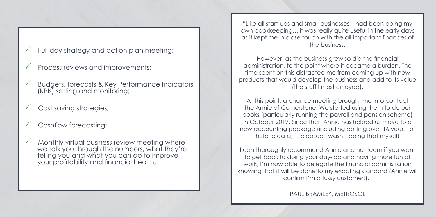- Full day strategy and action plan meeting;
- Process reviews and improvements;
- $\nu$  Budgets, forecasts & Key Performance Indicators (KPIs) setting and monitoring;
- Cost saving strategies;
- Cashflow forecasting;
- $\checkmark$  Monthly virtual business review meeting where we talk you through the numbers, what they're telling you and what you can do to improve your profitability and financial health;

own bookkeeping... it was really quite useful in the early days because the submitted the submitted submitted later the very later  $H$  about the number of times  $\mathcal{L}$ "Like all start-ups and small businesses, I had been doing my as it kept me in close touch with the all-important finances of the business.

However, as the business grew so did the financial time spent on this distracted me from coming up with new Our Sleep At Night (the chief I meet enjoyed) (the stuff I most enjoyed). administration, to the point where it became a burden. The products that would develop the business and add to its value

information on this). We take the whole finance function and run it, At this point, a chance meeting brought me into contact the Annie of Cornerstone. We started using them to do our books (particularly running the payroll and pension scheme) in October 2019. Since then Annie has helped us move to a With Cornerstone, who were will get what you need to your need it and what you need it. historic data)… pleased I wasn't doing that myself! new accounting package (including porting over 16 years' of

I can thoroughly recommend Annie and her team if you want to get back to doing your day-job and having more fun at work, I'm now able to delegate the financial administration knowing that it will be done to my exacting standard (Annie will confirm I'm a fussy customer!)."

PAUL BRAMLEY, METROSOL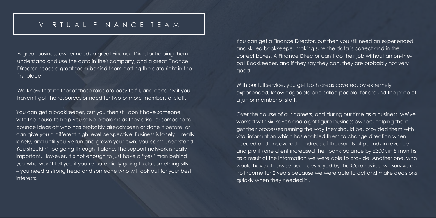A great business owner needs a great Finance Director helping them understand and use the data in their company, and a great Finance Director needs a great team behind them getting the data right in the first place.

We know that neither of those roles are easy to fill, and certainly if you haven't got the resources or need for two or more members of staff.

You can get a bookkeeper, but you then still don't have someone with the nouse to help you solve problems as they arise, or someone to bounce ideas off who has probably already seen or done it before, or can give you a different high level perspective. Business is lonely… really lonely, and until you've run and grown your own, you can't understand. You shouldn't be going through it alone. The support network is really important. However, it's not enough to just have a "yes" man behind you who won't tell you if you're potentially going to do something silly – you need a strong head and someone who will look out for your best interests.

With our full service, you get both areas covered, by extremely experienced, knowledgeable and skilled people, for around the price of a junior member of staff.

## V I R T U A L F I N A N C E T E A M

You can get a Finance Director, but then you still need an experienced and skilled bookkeeper making sure the data is correct and in the correct boxes. A Finance Director can't do their job without an on-theball Bookkeeper, and if they say they can, they are probably not very good.

Over the course of our careers, and during our time as a business, we've worked with six, seven and eight figure business owners, helping them get their processes running the way they should be, provided them with vital information which has enabled them to change direction when needed and uncovered hundreds of thousands of pounds in revenue and profit (one client increased their bank balance by £300k in 8 months as a result of the information we were able to provide. Another one, who would have otherwise been destroyed by the Coronavirus, will survive on no income for 2 years because we were able to act and make decisions quickly when they needed it).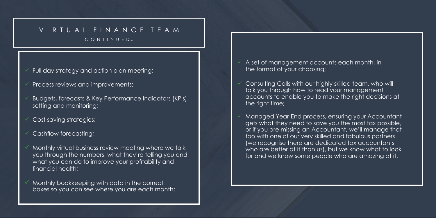## V I R T U A L F I N A N C E T E A M

C O N T I N U E D...

- Full day strategy and action plan meeting;
- Process reviews and improvements;
- P Budgets, forecasts & Key Performance Indicators (KPIs) setting and monitoring;
- Cost saving strategies;
- Cashflow forecasting;
- Monthly virtual business review meeting where we talk you through the numbers, what they're telling you and what you can do to improve your profitability and financial health;
- Monthly bookkeeping with data in the correct boxes so you can see where you are each month;
- A set of management accounts each month, in the format of your choosing;
- Consulting Calls with our highly skilled team, who will talk you through how to read your management accounts to enable you to make the right decisions at the right time;
- Managed Year-End process, ensuring your Accountant gets what they need to save you the most tax possible, or if you are missing an Accountant, we'll manage that too with one of our very skilled and fabulous partners (we recognise there are dedicated tax accountants who are better at it than us), but we know what to look for and we know some people who are amazing at it.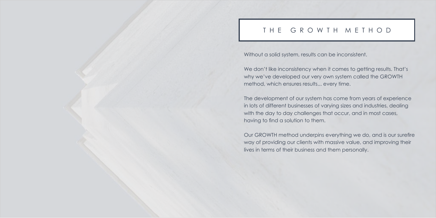## THE GROWTH METHOD

Without a solid system, results can be inconsistent.

We don't like inconsistency when it comes to getting results. That's why we've developed our very own system called the GROWTH method, which ensures results... every time.

The development of our system has come from years of experience in lots of different businesses of varying sizes and industries, dealing with the day to day challenges that occur, and in most cases, having to find a solution to them.

Our GROWTH method underpins everything we do, and is our surefire way of providing our clients with massive value, and improving their lives in terms of their business and them personally.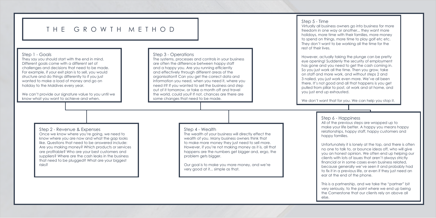## T H F G R O W T H M F T H O D

#### Step 1 - Goals

They say you should start with the end in mind. Different goals come with a different set of challenges and decisions that need to be made. For example, if your exit plan is to sell, you would structure and do things differently to if you just wanted to make a load of money and go on holiday to the Maldives every year.

We can't provide our signature value to you until we know what you want to achieve and when.

#### Step 4 - Wealth

The wealth of your business will directly effect the wealth of you. Many business owners think that to make more money they just need to sell more. However, if you're not making money as it is, all that happens are the numbers get bigger and, ergo, the problem gets bigger.

Our goal is to make you more money, and we're very good at it... simple as that.

## Step 2 - Revenue & Expenses

All of the previous steps are wrapped up to make your life better. A happy you means happy relationships, happy staff, happy customers and happy families.

Once we know where you're going, we need to know where you are now and what the gap looks like. Questions that need to be answered include: Are you making money? Which products or services are profitable? Who are your best customers and suppliers? Where are the cash leaks in the business that need to be plugged? What are your biggest risks?

#### Step 3 - Operations

The systems, processes and controls in your business are often the difference between happy staff and a happy you. Are you running efficiently and effectively through different areas of the organisation? Can you get the correct data and information you need, when you need it, where you need it? If you wanted to sell the business and step out of it tomorrow, or take a month off and travel the world, could you? If not, chances are there are some changes that need to be made.

#### Step 6 - Happiness

Unfortunately it is lonely at the top, and there is often no one to talk to, or bounce ideas off, who will give you an honest opinion. We often end up helping our clients with lots of issues that aren't always strictly financial or in some cases even business related, because generally we've seen it and probably had to fix it in a previous life, or even if they just need an ear at the end of the phone.

This is a partnership, and we take the "partner" bit very seriously, to the point where we end up being the Cornerstone that our clients rely on above all

else.

Step 5 - Time Virtually all business owners go into business for more freedom in one way or another... they want more holidays, more time with their families, more money to spend on things, more time to play golf etc etc. They don't want to be working all the time for the rest of their lives.

However, actually taking the plunge can be pretty eye opening! Suddenly the security of employment has gone and you need to get the cash coming in. So you just work all the time. Then you grow, take on staff and more work, and without steps 2 and 3 nailed, you just work even more. We've all been there. It's not good and all that happens is you get pulled from pillar to post, at work and at home, and you just end up exhausted.

We don't want that for you. We can help you stop it.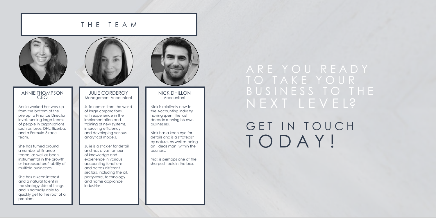### T H E T E A M



#### ANNIE THOMPSON CEO

Annie worked her way up from the bottom of the pile up to Finance Director level, running large teams of people in organisations such as Ipsos, DHL, Bizerba, and a Formula 3 race team.

She has turned around a number of finance teams, as well as been instrumental in the growth or increased profitability of multiple businesses.

She has a keen interest and a natural talent in the strategy side of things and is normally able to quickly get to the root of a problem.



#### NICK DHILLON Accountant

Nick is relatively new to the Accounting industry having spent the last decade running his own businesses.

## A R E Y O U R E A D Y T O T A K E Y O U R B U S I N E S S T O T H E N E X T L E V E L?

# GET IN TOUCH T O D A Y !

Nick has a keen eye for details and is a strategist by nature, as well as being an 'ideas man' within the business.

Nick is perhaps one of the sharpest tools in the box.

JULIE CORDEROY Management Accountant

Julie comes from the world of large corporations, with experience in the implementation and training of new systems, improving efficiency and developing various analytical models.

Julie is a stickler for detail, and has a vast amount of knowledge and experience in various accounting functions and across different sectors, including the oil, partyware, technology and home appliance industries.